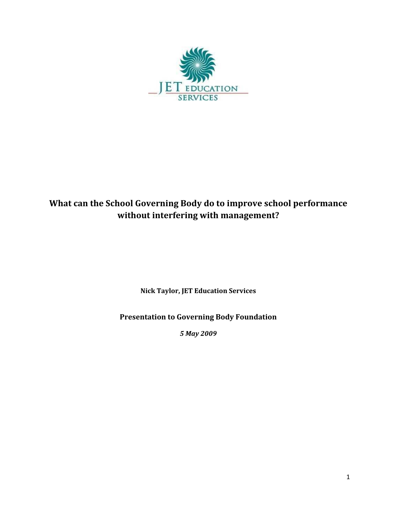

# What can the School Governing Body do to improve school performance without interfering with management?

Nick Taylor, JET Education Services

Presentation to Governing Body Foundation

5 May 2009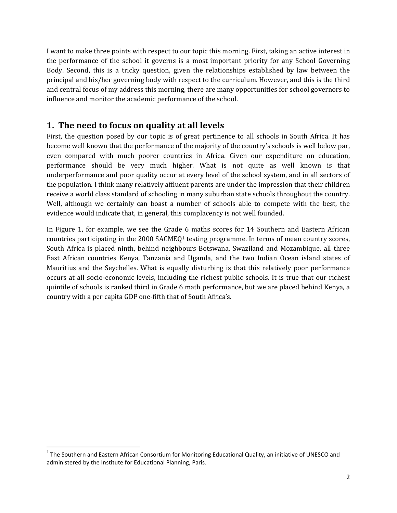I want to make three points with respect to our topic this morning. First, taking an active interest in the performance of the school it governs is a most important priority for any School Governing Body. Second, this is a tricky question, given the relationships established by law between the principal and his/her governing body with respect to the curriculum. However, and this is the third and central focus of my address this morning, there are many opportunities for school governors to influence and monitor the academic performance of the school.

## 1. The need to focus on quality at all levels

First, the question posed by our topic is of great pertinence to all schools in South Africa. It has become well known that the performance of the majority of the country's schools is well below par, even compared with much poorer countries in Africa. Given our expenditure on education, performance should be very much higher. What is not quite as well known is that underperformance and poor quality occur at every level of the school system, and in all sectors of the population. I think many relatively affluent parents are under the impression that their children receive a world class standard of schooling in many suburban state schools throughout the country. Well, although we certainly can boast a number of schools able to compete with the best, the evidence would indicate that, in general, this complacency is not well founded.

In Figure 1, for example, we see the Grade 6 maths scores for 14 Southern and Eastern African countries participating in the 2000 SACMEQ1 testing programme. In terms of mean country scores, South Africa is placed ninth, behind neighbours Botswana, Swaziland and Mozambique, all three East African countries Kenya, Tanzania and Uganda, and the two Indian Ocean island states of Mauritius and the Seychelles. What is equally disturbing is that this relatively poor performance occurs at all socio-economic levels, including the richest public schools. It is true that our richest quintile of schools is ranked third in Grade 6 math performance, but we are placed behind Kenya, a country with a per capita GDP one-fifth that of South Africa's.

 $\overline{a}$ 

 $1$  The Southern and Eastern African Consortium for Monitoring Educational Quality, an initiative of UNESCO and administered by the Institute for Educational Planning, Paris.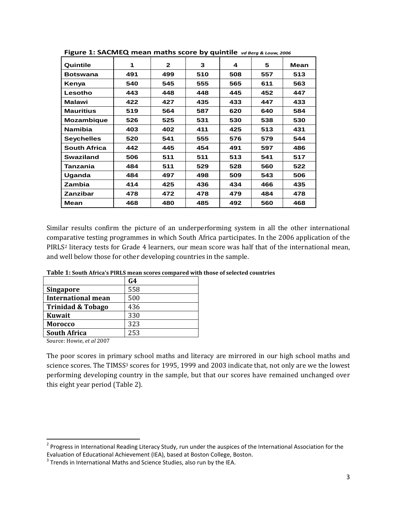| Quintile            | 1   | $\mathbf{2}$ | 3   | 4   | 5   | Mean |
|---------------------|-----|--------------|-----|-----|-----|------|
| Botswana            | 491 | 499          | 510 | 508 | 557 | 513  |
| Kenya               | 540 | 545          | 555 | 565 | 611 | 563  |
| Lesotho             | 443 | 448          | 448 | 445 | 452 | 447  |
| <b>Malawi</b>       | 422 | 427          | 435 | 433 | 447 | 433  |
| <b>Mauritius</b>    | 519 | 564          | 587 | 620 | 640 | 584  |
| <b>Mozambique</b>   | 526 | 525          | 531 | 530 | 538 | 530  |
| <b>Namibia</b>      | 403 | 402          | 411 | 425 | 513 | 431  |
| <b>Seychelles</b>   | 520 | 541          | 555 | 576 | 579 | 544  |
| <b>South Africa</b> | 442 | 445          | 454 | 491 | 597 | 486  |
| <b>Swaziland</b>    | 506 | 511          | 511 | 513 | 541 | 517  |
| Tanzania            | 484 | 511          | 529 | 528 | 560 | 522  |
| Uganda              | 484 | 497          | 498 | 509 | 543 | 506  |
| <b>Zambia</b>       | 414 | 425          | 436 | 434 | 466 | 435  |
| Zanzibar            | 478 | 472          | 478 | 479 | 484 | 478  |
| Mean                | 468 | 480          | 485 | 492 | 560 | 468  |

Figure 1: SACMEQ mean maths score by quintile vd Berg & Louw, 2006

Similar results confirm the picture of an underperforming system in all the other international comparative testing programmes in which South Africa participates. In the 2006 application of the PIRLS2 literacy tests for Grade 4 learners, our mean score was half that of the international mean, and well below those for other developing countries in the sample.

|                                          | G4  |
|------------------------------------------|-----|
| <b>Singapore</b>                         | 558 |
| <b>International mean</b>                | 500 |
| <b>Trinidad &amp; Tobago</b>             | 436 |
| Kuwait                                   | 330 |
| <b>Morocco</b>                           | 323 |
| <b>South Africa</b>                      | 253 |
| $C_1, \ldots, C_n$ II $C_2, \ldots, C_n$ |     |

Table 1: South Africa's PIRLS mean scores compared with those of selected countries

Source: Howie, et al 2007

l

The poor scores in primary school maths and literacy are mirrored in our high school maths and science scores. The TIMSS<sup>3</sup> scores for 1995, 1999 and 2003 indicate that, not only are we the lowest performing developing country in the sample, but that our scores have remained unchanged over this eight year period (Table 2).

<sup>&</sup>lt;sup>2</sup> Progress in International Reading Literacy Study, run under the auspices of the International Association for the Evaluation of Educational Achievement (IEA), based at Boston College, Boston.

 $3$  Trends in International Maths and Science Studies, also run by the IEA.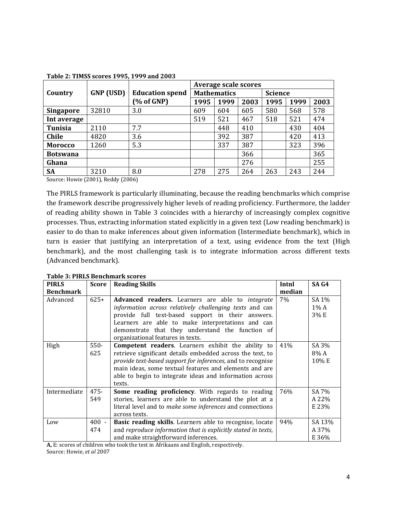|                  |                  |                                  | <b>Average scale scores</b> |      |      |                |      |      |
|------------------|------------------|----------------------------------|-----------------------------|------|------|----------------|------|------|
| Country          | <b>GNP</b> (USD) | <b>Education spend</b>           | <b>Mathematics</b>          |      |      | <b>Science</b> |      |      |
|                  |                  | $\left(\% \text{ of GNP}\right)$ | 1995                        | 1999 | 2003 | 1995           | 1999 | 2003 |
| <b>Singapore</b> | 32810            | 3.0                              | 609                         | 604  | 605  | 580            | 568  | 578  |
| Int average      |                  |                                  | 519                         | 521  | 467  | 518            | 521  | 474  |
| <b>Tunisia</b>   | 2110             | 7.7                              |                             | 448  | 410  |                | 430  | 404  |
| <b>Chile</b>     | 4820             | 3.6                              |                             | 392  | 387  |                | 420  | 413  |
| <b>Morocco</b>   | 1260             | 5.3                              |                             | 337  | 387  |                | 323  | 396  |
| <b>Botswana</b>  |                  |                                  |                             |      | 366  |                |      | 365  |
| Ghana            |                  |                                  |                             |      | 276  |                |      | 255  |
| SA               | 3210             | 8.0                              | 278                         | 275  | 264  | 263            | 243  | 244  |

#### Table 2: TIMSS scores 1995, 1999 and 2003

Source: Howie (2001), Reddy (2006)

The PIRLS framework is particularly illuminating, because the reading benchmarks which comprise the framework describe progressively higher levels of reading proficiency. Furthermore, the ladder of reading ability shown in Table 3 coincides with a hierarchy of increasingly complex cognitive processes. Thus, extracting information stated explicitly in a given text (Low reading benchmark) is easier to do than to make inferences about given information (Intermediate benchmark), which in turn is easier that justifying an interpretation of a text, using evidence from the text (High benchmark), and the most challenging task is to integrate information across different texts (Advanced benchmark).

| <b>PIRLS</b>     | <b>Score</b> | <b>Reading Skills</b>                                         | Intnl  | SA <sub>G4</sub> |
|------------------|--------------|---------------------------------------------------------------|--------|------------------|
| <b>Benchmark</b> |              |                                                               | median |                  |
| Advanced         | $625+$       | Advanced readers. Learners are able to integrate              | 7%     | SA 1%            |
|                  |              | information across relatively challenging texts and can       |        | $1\%$ A          |
|                  |              | provide full text-based support in their answers.             |        | 3% E             |
|                  |              | Learners are able to make interpretations and can             |        |                  |
|                  |              | demonstrate that they understand the function of              |        |                  |
|                  |              | organizational features in texts.                             |        |                  |
| High             | $550 -$      | <b>Competent readers.</b> Learners exhibit the ability to     | 41%    | SA 3%            |
|                  | 625          | retrieve significant details embedded across the text, to     |        | 8% A             |
|                  |              | provide text-based support for inferences, and to recognise   |        | 10% E            |
|                  |              | main ideas, some textual features and elements and are        |        |                  |
|                  |              | able to begin to integrate ideas and information across       |        |                  |
|                  |              | texts.                                                        |        |                  |
| Intermediate     | $475 -$      | Some reading proficiency. With regards to reading             | 76%    | SA 7%            |
|                  | 549          | stories, learners are able to understand the plot at a        |        | A 22%            |
|                  |              | literal level and to make some inferences and connections     |        | E 23%            |
|                  |              | across texts.                                                 |        |                  |
| Low              | $400 -$      | Basic reading skills. Learners able to recognise, locate      | 94%    | SA 13%           |
|                  | 474          | and reproduce information that is explicitly stated in texts, |        | A 37%            |
|                  |              | and make straightforward inferences.                          |        | E 36%            |

Table 3: PIRLS Benchmark scores

A, E: scores of children who took the test in Afrikaans and English, respectively.

Source: Howie, et al 2007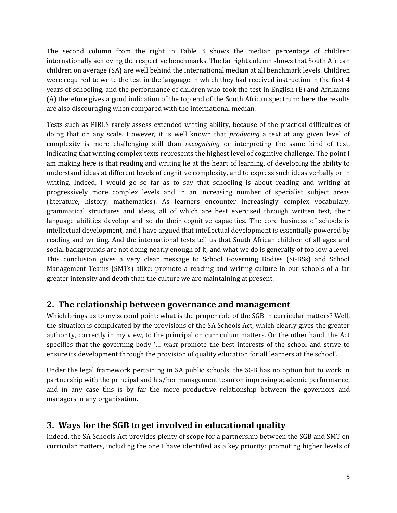The second column from the right in Table 3 shows the median percentage of children internationally achieving the respective benchmarks. The far right column shows that South African children on average (SA) are well behind the international median at all benchmark levels. Children were required to write the test in the language in which they had received instruction in the first 4 years of schooling, and the performance of children who took the test in English (E) and Afrikaans (A) therefore gives a good indication of the top end of the South African spectrum: here the results are also discouraging when compared with the international median.

Tests such as PIRLS rarely assess extended writing ability, because of the practical difficulties of doing that on any scale. However, it is well known that *producing* a text at any given level of complexity is more challenging still than *recognising* or interpreting the same kind of text, indicating that writing complex texts represents the highest level of cognitive challenge. The point I am making here is that reading and writing lie at the heart of learning, of developing the ability to understand ideas at different levels of cognitive complexity, and to express such ideas verbally or in writing. Indeed, I would go so far as to say that schooling is about reading and writing at progressively more complex levels and in an increasing number of specialist subject areas (literature, history, mathematics). As learners encounter increasingly complex vocabulary, grammatical structures and ideas, all of which are best exercised through written text, their language abilities develop and so do their cognitive capacities. The core business of schools is intellectual development, and I have argued that intellectual development is essentially powered by reading and writing. And the international tests tell us that South African children of all ages and social backgrounds are not doing nearly enough of it, and what we do is generally of too low a level. This conclusion gives a very clear message to School Governing Bodies (SGBSs) and School Management Teams (SMTs) alike: promote a reading and writing culture in our schools of a far greater intensity and depth than the culture we are maintaining at present.

### 2. The relationship between governance and management

Which brings us to my second point: what is the proper role of the SGB in curricular matters? Well, the situation is complicated by the provisions of the SA Schools Act, which clearly gives the greater authority, correctly in my view, to the principal on curriculum matters. On the other hand, the Act specifies that the governing body '… must promote the best interests of the school and strive to ensure its development through the provision of quality education for all learners at the school'.

Under the legal framework pertaining in SA public schools, the SGB has no option but to work in partnership with the principal and his/her management team on improving academic performance, and in any case this is by far the more productive relationship between the governors and managers in any organisation.

### 3. Ways for the SGB to get involved in educational quality

Indeed, the SA Schools Act provides plenty of scope for a partnership between the SGB and SMT on curricular matters, including the one I have identified as a key priority: promoting higher levels of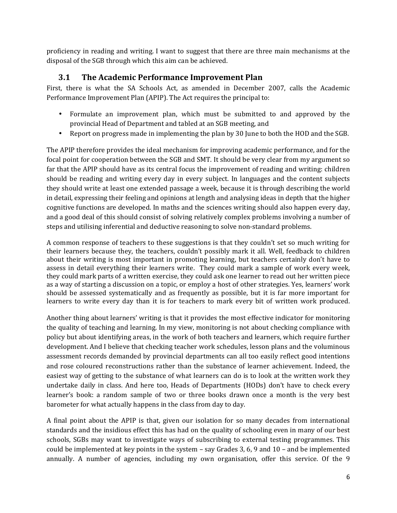proficiency in reading and writing. I want to suggest that there are three main mechanisms at the disposal of the SGB through which this aim can be achieved.

### 3.1 The Academic Performance Improvement Plan

First, there is what the SA Schools Act, as amended in December 2007, calls the Academic Performance Improvement Plan (APIP). The Act requires the principal to:

- Formulate an improvement plan, which must be submitted to and approved by the provincial Head of Department and tabled at an SGB meeting, and
- Report on progress made in implementing the plan by 30 June to both the HOD and the SGB.

The APIP therefore provides the ideal mechanism for improving academic performance, and for the focal point for cooperation between the SGB and SMT. It should be very clear from my argument so far that the APIP should have as its central focus the improvement of reading and writing: children should be reading and writing every day in every subject. In languages and the content subjects they should write at least one extended passage a week, because it is through describing the world in detail, expressing their feeling and opinions at length and analysing ideas in depth that the higher cognitive functions are developed. In maths and the sciences writing should also happen every day, and a good deal of this should consist of solving relatively complex problems involving a number of steps and utilising inferential and deductive reasoning to solve non-standard problems.

A common response of teachers to these suggestions is that they couldn't set so much writing for their learners because they, the teachers, couldn't possibly mark it all. Well, feedback to children about their writing is most important in promoting learning, but teachers certainly don't have to assess in detail everything their learners write. They could mark a sample of work every week, they could mark parts of a written exercise, they could ask one learner to read out her written piece as a way of starting a discussion on a topic, or employ a host of other strategies. Yes, learners' work should be assessed systematically and as frequently as possible, but it is far more important for learners to write every day than it is for teachers to mark every bit of written work produced.

Another thing about learners' writing is that it provides the most effective indicator for monitoring the quality of teaching and learning. In my view, monitoring is not about checking compliance with policy but about identifying areas, in the work of both teachers and learners, which require further development. And I believe that checking teacher work schedules, lesson plans and the voluminous assessment records demanded by provincial departments can all too easily reflect good intentions and rose coloured reconstructions rather than the substance of learner achievement. Indeed, the easiest way of getting to the substance of what learners can do is to look at the written work they undertake daily in class. And here too, Heads of Departments (HODs) don't have to check every learner's book: a random sample of two or three books drawn once a month is the very best barometer for what actually happens in the class from day to day.

A final point about the APIP is that, given our isolation for so many decades from international standards and the insidious effect this has had on the quality of schooling even in many of our best schools, SGBs may want to investigate ways of subscribing to external testing programmes. This could be implemented at key points in the system – say Grades 3, 6, 9 and 10 – and be implemented annually. A number of agencies, including my own organisation, offer this service. Of the 9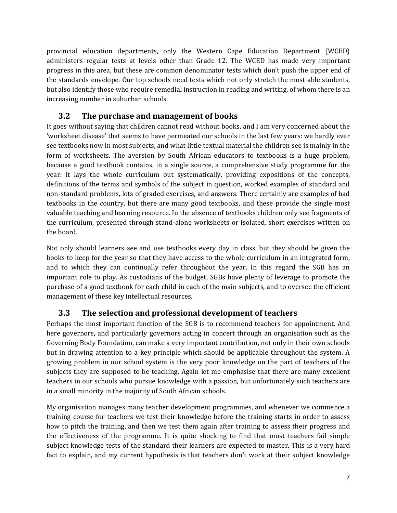provincial education departments, only the Western Cape Education Department (WCED) administers regular tests at levels other than Grade 12. The WCED has made very important progress in this area, but these are common denominator tests which don't push the upper end of the standards envelope. Our top schools need tests which not only stretch the most able students, but also identify those who require remedial instruction in reading and writing, of whom there is an increasing number in suburban schools.

### 3.2 The purchase and management of books

It goes without saying that children cannot read without books, and I am very concerned about the 'worksheet disease' that seems to have permeated our schools in the last few years: we hardly ever see textbooks now in most subjects, and what little textual material the children see is mainly in the form of worksheets. The aversion by South African educators to textbooks is a huge problem, because a good textbook contains, in a single source, a comprehensive study programme for the year: it lays the whole curriculum out systematically, providing expositions of the concepts, definitions of the terms and symbols of the subject in question, worked examples of standard and non-standard problems, lots of graded exercises, and answers. There certainly are examples of bad textbooks in the country, but there are many good textbooks, and these provide the single most valuable teaching and learning resource. In the absence of textbooks children only see fragments of the curriculum, presented through stand-alone worksheets or isolated, short exercises written on the board.

Not only should learners see and use textbooks every day in class, but they should be given the books to keep for the year so that they have access to the whole curriculum in an integrated form, and to which they can continually refer throughout the year. In this regard the SGB has an important role to play. As custodians of the budget, SGBs have plenty of leverage to promote the purchase of a good textbook for each child in each of the main subjects, and to oversee the efficient management of these key intellectual resources.

### 3.3 The selection and professional development of teachers

Perhaps the most important function of the SGB is to recommend teachers for appointment. And here governors, and particularly governors acting in concert through an organisation such as the Governing Body Foundation, can make a very important contribution, not only in their own schools but in drawing attention to a key principle which should be applicable throughout the system. A growing problem in our school system is the very poor knowledge on the part of teachers of the subjects they are supposed to be teaching. Again let me emphasise that there are many excellent teachers in our schools who pursue knowledge with a passion, but unfortunately such teachers are in a small minority in the majority of South African schools.

My organisation manages many teacher development programmes, and whenever we commence a training course for teachers we test their knowledge before the training starts in order to assess how to pitch the training, and then we test them again after training to assess their progress and the effectiveness of the programme. It is quite shocking to find that most teachers fail simple subject knowledge tests of the standard their learners are expected to master. This is a very hard fact to explain, and my current hypothesis is that teachers don't work at their subject knowledge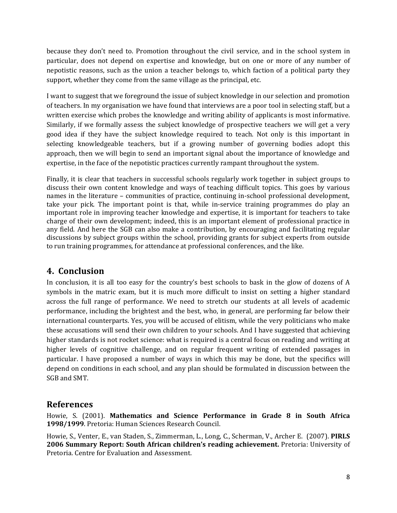because they don't need to. Promotion throughout the civil service, and in the school system in particular, does not depend on expertise and knowledge, but on one or more of any number of nepotistic reasons, such as the union a teacher belongs to, which faction of a political party they support, whether they come from the same village as the principal, etc.

I want to suggest that we foreground the issue of subject knowledge in our selection and promotion of teachers. In my organisation we have found that interviews are a poor tool in selecting staff, but a written exercise which probes the knowledge and writing ability of applicants is most informative. Similarly, if we formally assess the subject knowledge of prospective teachers we will get a very good idea if they have the subject knowledge required to teach. Not only is this important in selecting knowledgeable teachers, but if a growing number of governing bodies adopt this approach, then we will begin to send an important signal about the importance of knowledge and expertise, in the face of the nepotistic practices currently rampant throughout the system.

Finally, it is clear that teachers in successful schools regularly work together in subject groups to discuss their own content knowledge and ways of teaching difficult topics. This goes by various names in the literature – communities of practice, continuing in-school professional development, take your pick. The important point is that, while in-service training programmes do play an important role in improving teacher knowledge and expertise, it is important for teachers to take charge of their own development; indeed, this is an important element of professional practice in any field. And here the SGB can also make a contribution, by encouraging and facilitating regular discussions by subject groups within the school, providing grants for subject experts from outside to run training programmes, for attendance at professional conferences, and the like.

### 4. Conclusion

In conclusion, it is all too easy for the country's best schools to bask in the glow of dozens of A symbols in the matric exam, but it is much more difficult to insist on setting a higher standard across the full range of performance. We need to stretch our students at all levels of academic performance, including the brightest and the best, who, in general, are performing far below their international counterparts. Yes, you will be accused of elitism, while the very politicians who make these accusations will send their own children to your schools. And I have suggested that achieving higher standards is not rocket science: what is required is a central focus on reading and writing at higher levels of cognitive challenge, and on regular frequent writing of extended passages in particular. I have proposed a number of ways in which this may be done, but the specifics will depend on conditions in each school, and any plan should be formulated in discussion between the SGB and SMT.

#### References

Howie, S. (2001). Mathematics and Science Performance in Grade 8 in South Africa 1998/1999. Pretoria: Human Sciences Research Council.

Howie, S., Venter, E., van Staden, S., Zimmerman, L., Long, C., Scherman, V., Archer E. (2007). PIRLS 2006 Summary Report: South African children's reading achievement. Pretoria: University of Pretoria. Centre for Evaluation and Assessment.